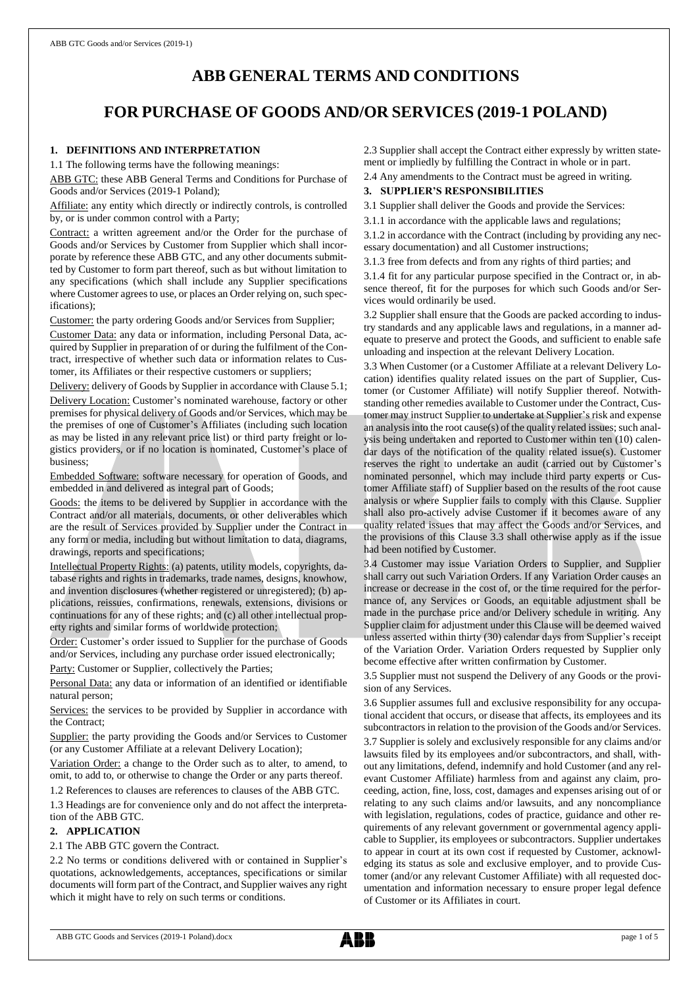# **ABB GENERAL TERMS AND CONDITIONS**

# **FOR PURCHASE OF GOODS AND/OR SERVICES (2019-1 POLAND)**

# **1. DEFINITIONS AND INTERPRETATION**

1.1 The following terms have the following meanings:

ABB GTC: these ABB General Terms and Conditions for Purchase of Goods and/or Services (2019-1 Poland);

Affiliate: any entity which directly or indirectly controls, is controlled by, or is under common control with a Party;

Contract: a written agreement and/or the Order for the purchase of Goods and/or Services by Customer from Supplier which shall incorporate by reference these ABB GTC, and any other documents submitted by Customer to form part thereof, such as but without limitation to any specifications (which shall include any Supplier specifications where Customer agrees to use, or places an Order relying on, such specifications);

Customer: the party ordering Goods and/or Services from Supplier;

Customer Data: any data or information, including Personal Data, acquired by Supplier in preparation of or during the fulfilment of the Contract, irrespective of whether such data or information relates to Customer, its Affiliates or their respective customers or suppliers;

Delivery: delivery of Goods by Supplier in accordance with Clause 5.1; Delivery Location: Customer's nominated warehouse, factory or other premises for physical delivery of Goods and/or Services, which may be the premises of one of Customer's Affiliates (including such location as may be listed in any relevant price list) or third party freight or logistics providers, or if no location is nominated, Customer's place of business;

Embedded Software: software necessary for operation of Goods, and embedded in and delivered as integral part of Goods;

Goods: the items to be delivered by Supplier in accordance with the Contract and/or all materials, documents, or other deliverables which are the result of Services provided by Supplier under the Contract in any form or media, including but without limitation to data, diagrams, drawings, reports and specifications;

Intellectual Property Rights: (a) patents, utility models, copyrights, database rights and rights in trademarks, trade names, designs, knowhow, and invention disclosures (whether registered or unregistered); (b) applications, reissues, confirmations, renewals, extensions, divisions or continuations for any of these rights; and (c) all other intellectual property rights and similar forms of worldwide protection;

Order: Customer's order issued to Supplier for the purchase of Goods and/or Services, including any purchase order issued electronically;

Party: Customer or Supplier, collectively the Parties;

Personal Data: any data or information of an identified or identifiable natural person;

Services: the services to be provided by Supplier in accordance with the Contract;

Supplier: the party providing the Goods and/or Services to Customer (or any Customer Affiliate at a relevant Delivery Location);

Variation Order: a change to the Order such as to alter, to amend, to omit, to add to, or otherwise to change the Order or any parts thereof.

1.2 References to clauses are references to clauses of the ABB GTC.

1.3 Headings are for convenience only and do not affect the interpretation of the ABB GTC.

# **2. APPLICATION**

## 2.1 The ABB GTC govern the Contract.

2.2 No terms or conditions delivered with or contained in Supplier's quotations, acknowledgements, acceptances, specifications or similar documents will form part of the Contract, and Supplier waives any right which it might have to rely on such terms or conditions.

2.3 Supplier shall accept the Contract either expressly by written statement or impliedly by fulfilling the Contract in whole or in part.

2.4 Any amendments to the Contract must be agreed in writing.

# **3. SUPPLIER'S RESPONSIBILITIES**

3.1 Supplier shall deliver the Goods and provide the Services:

3.1.1 in accordance with the applicable laws and regulations;

3.1.2 in accordance with the Contract (including by providing any necessary documentation) and all Customer instructions;

3.1.3 free from defects and from any rights of third parties; and

3.1.4 fit for any particular purpose specified in the Contract or, in absence thereof, fit for the purposes for which such Goods and/or Services would ordinarily be used.

3.2 Supplier shall ensure that the Goods are packed according to industry standards and any applicable laws and regulations, in a manner adequate to preserve and protect the Goods, and sufficient to enable safe unloading and inspection at the relevant Delivery Location.

3.3 When Customer (or a Customer Affiliate at a relevant Delivery Location) identifies quality related issues on the part of Supplier, Customer (or Customer Affiliate) will notify Supplier thereof. Notwithstanding other remedies available to Customer under the Contract, Customer may instruct Supplier to undertake at Supplier's risk and expense an analysis into the root cause(s) of the quality related issues; such analysis being undertaken and reported to Customer within ten (10) calendar days of the notification of the quality related issue(s). Customer reserves the right to undertake an audit (carried out by Customer's nominated personnel, which may include third party experts or Customer Affiliate staff) of Supplier based on the results of the root cause analysis or where Supplier fails to comply with this Clause. Supplier shall also pro-actively advise Customer if it becomes aware of any quality related issues that may affect the Goods and/or Services, and the provisions of this Clause 3.3 shall otherwise apply as if the issue had been notified by Customer.

3.4 Customer may issue Variation Orders to Supplier, and Supplier shall carry out such Variation Orders. If any Variation Order causes an increase or decrease in the cost of, or the time required for the performance of, any Services or Goods, an equitable adjustment shall be made in the purchase price and/or Delivery schedule in writing. Any Supplier claim for adjustment under this Clause will be deemed waived unless asserted within thirty (30) calendar days from Supplier's receipt of the Variation Order. Variation Orders requested by Supplier only become effective after written confirmation by Customer.

3.5 Supplier must not suspend the Delivery of any Goods or the provision of any Services.

3.6 Supplier assumes full and exclusive responsibility for any occupational accident that occurs, or disease that affects, its employees and its subcontractors in relation to the provision of the Goods and/or Services. 3.7 Supplier is solely and exclusively responsible for any claims and/or lawsuits filed by its employees and/or subcontractors, and shall, without any limitations, defend, indemnify and hold Customer (and any relevant Customer Affiliate) harmless from and against any claim, proceeding, action, fine, loss, cost, damages and expenses arising out of or relating to any such claims and/or lawsuits, and any noncompliance with legislation, regulations, codes of practice, guidance and other requirements of any relevant government or governmental agency applicable to Supplier, its employees or subcontractors. Supplier undertakes to appear in court at its own cost if requested by Customer, acknowledging its status as sole and exclusive employer, and to provide Customer (and/or any relevant Customer Affiliate) with all requested documentation and information necessary to ensure proper legal defence of Customer or its Affiliates in court.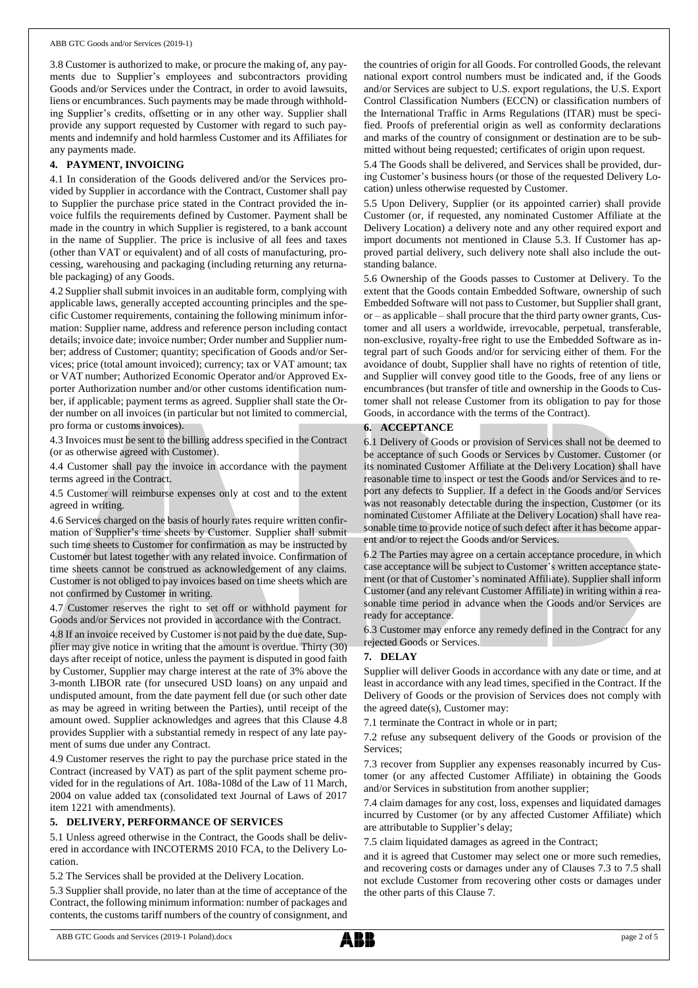3.8 Customer is authorized to make, or procure the making of, any payments due to Supplier's employees and subcontractors providing Goods and/or Services under the Contract, in order to avoid lawsuits, liens or encumbrances. Such payments may be made through withholding Supplier's credits, offsetting or in any other way. Supplier shall provide any support requested by Customer with regard to such payments and indemnify and hold harmless Customer and its Affiliates for any payments made.

# **4. PAYMENT, INVOICING**

4.1 In consideration of the Goods delivered and/or the Services provided by Supplier in accordance with the Contract, Customer shall pay to Supplier the purchase price stated in the Contract provided the invoice fulfils the requirements defined by Customer. Payment shall be made in the country in which Supplier is registered, to a bank account in the name of Supplier. The price is inclusive of all fees and taxes (other than VAT or equivalent) and of all costs of manufacturing, processing, warehousing and packaging (including returning any returnable packaging) of any Goods.

4.2 Supplier shall submit invoices in an auditable form, complying with applicable laws, generally accepted accounting principles and the specific Customer requirements, containing the following minimum information: Supplier name, address and reference person including contact details; invoice date; invoice number; Order number and Supplier number; address of Customer; quantity; specification of Goods and/or Services; price (total amount invoiced); currency; tax or VAT amount; tax or VAT number; Authorized Economic Operator and/or Approved Exporter Authorization number and/or other customs identification number, if applicable; payment terms as agreed. Supplier shall state the Order number on all invoices (in particular but not limited to commercial, pro forma or customs invoices).

4.3 Invoices must be sent to the billing address specified in the Contract (or as otherwise agreed with Customer).

4.4 Customer shall pay the invoice in accordance with the payment terms agreed in the Contract.

4.5 Customer will reimburse expenses only at cost and to the extent agreed in writing.

4.6 Services charged on the basis of hourly rates require written confirmation of Supplier's time sheets by Customer. Supplier shall submit such time sheets to Customer for confirmation as may be instructed by Customer but latest together with any related invoice. Confirmation of time sheets cannot be construed as acknowledgement of any claims. Customer is not obliged to pay invoices based on time sheets which are not confirmed by Customer in writing.

4.7 Customer reserves the right to set off or withhold payment for Goods and/or Services not provided in accordance with the Contract.

4.8 If an invoice received by Customer is not paid by the due date, Supplier may give notice in writing that the amount is overdue. Thirty (30) days after receipt of notice, unless the payment is disputed in good faith by Customer, Supplier may charge interest at the rate of 3% above the 3-month LIBOR rate (for unsecured USD loans) on any unpaid and undisputed amount, from the date payment fell due (or such other date as may be agreed in writing between the Parties), until receipt of the amount owed. Supplier acknowledges and agrees that this Clause 4.8 provides Supplier with a substantial remedy in respect of any late payment of sums due under any Contract.

4.9 Customer reserves the right to pay the purchase price stated in the Contract (increased by VAT) as part of the split payment scheme provided for in the regulations of Art. 108a-108d of the Law of 11 March, 2004 on value added tax (consolidated text Journal of Laws of 2017 item 1221 with amendments).

## **5. DELIVERY, PERFORMANCE OF SERVICES**

5.1 Unless agreed otherwise in the Contract, the Goods shall be delivered in accordance with INCOTERMS 2010 FCA, to the Delivery Location.

5.2 The Services shall be provided at the Delivery Location.

5.3 Supplier shall provide, no later than at the time of acceptance of the Contract, the following minimum information: number of packages and contents, the customs tariff numbers of the country of consignment, and the countries of origin for all Goods. For controlled Goods, the relevant national export control numbers must be indicated and, if the Goods and/or Services are subject to U.S. export regulations, the U.S. Export Control Classification Numbers (ECCN) or classification numbers of the International Traffic in Arms Regulations (ITAR) must be specified. Proofs of preferential origin as well as conformity declarations and marks of the country of consignment or destination are to be submitted without being requested; certificates of origin upon request.

5.4 The Goods shall be delivered, and Services shall be provided, during Customer's business hours (or those of the requested Delivery Location) unless otherwise requested by Customer.

5.5 Upon Delivery, Supplier (or its appointed carrier) shall provide Customer (or, if requested, any nominated Customer Affiliate at the Delivery Location) a delivery note and any other required export and import documents not mentioned in Clause 5.3. If Customer has approved partial delivery, such delivery note shall also include the outstanding balance.

5.6 Ownership of the Goods passes to Customer at Delivery. To the extent that the Goods contain Embedded Software, ownership of such Embedded Software will not passto Customer, but Supplier shall grant, or – as applicable – shall procure that the third party owner grants, Customer and all users a worldwide, irrevocable, perpetual, transferable, non-exclusive, royalty-free right to use the Embedded Software as integral part of such Goods and/or for servicing either of them. For the avoidance of doubt, Supplier shall have no rights of retention of title, and Supplier will convey good title to the Goods, free of any liens or encumbrances (but transfer of title and ownership in the Goods to Customer shall not release Customer from its obligation to pay for those Goods, in accordance with the terms of the Contract).

# **6. ACCEPTANCE**

6.1 Delivery of Goods or provision of Services shall not be deemed to be acceptance of such Goods or Services by Customer. Customer (or its nominated Customer Affiliate at the Delivery Location) shall have reasonable time to inspect or test the Goods and/or Services and to report any defects to Supplier. If a defect in the Goods and/or Services was not reasonably detectable during the inspection, Customer (or its nominated Customer Affiliate at the Delivery Location) shall have reasonable time to provide notice of such defect after it has become apparent and/or to reject the Goods and/or Services.

6.2 The Parties may agree on a certain acceptance procedure, in which case acceptance will be subject to Customer's written acceptance statement (or that of Customer's nominated Affiliate). Supplier shall inform Customer (and any relevant Customer Affiliate) in writing within a reasonable time period in advance when the Goods and/or Services are ready for acceptance.

6.3 Customer may enforce any remedy defined in the Contract for any rejected Goods or Services.

## **7. DELAY**

Supplier will deliver Goods in accordance with any date or time, and at least in accordance with any lead times, specified in the Contract. If the Delivery of Goods or the provision of Services does not comply with the agreed date(s), Customer may:

7.1 terminate the Contract in whole or in part;

7.2 refuse any subsequent delivery of the Goods or provision of the Services;

7.3 recover from Supplier any expenses reasonably incurred by Customer (or any affected Customer Affiliate) in obtaining the Goods and/or Services in substitution from another supplier;

7.4 claim damages for any cost, loss, expenses and liquidated damages incurred by Customer (or by any affected Customer Affiliate) which are attributable to Supplier's delay;

7.5 claim liquidated damages as agreed in the Contract;

and it is agreed that Customer may select one or more such remedies, and recovering costs or damages under any of Clauses 7.3 to 7.5 shall not exclude Customer from recovering other costs or damages under the other parts of this Clause 7.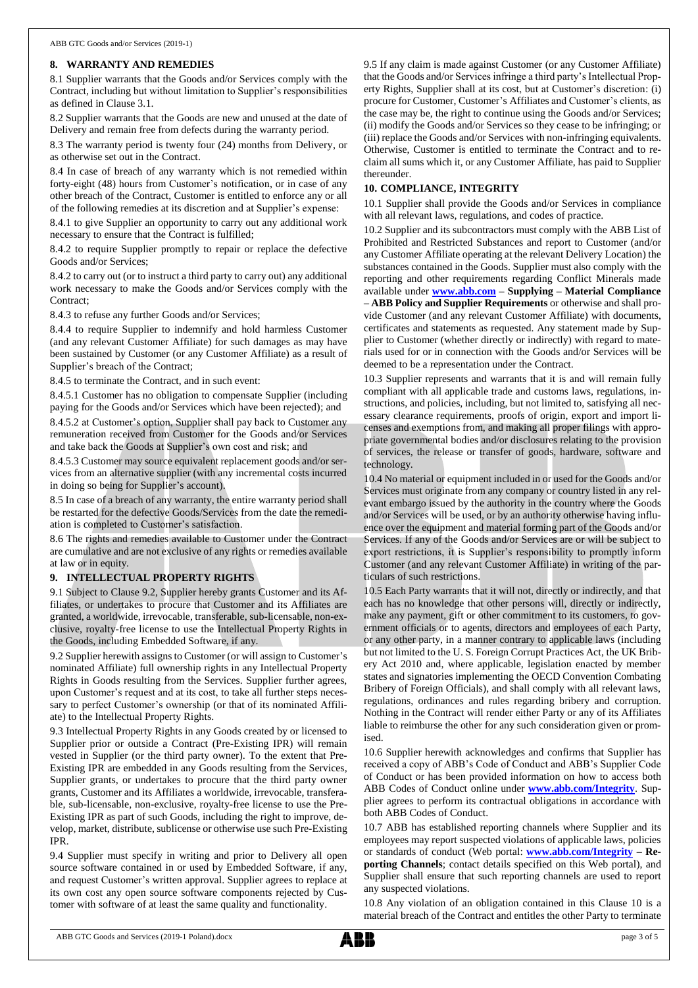# **8. WARRANTY AND REMEDIES**

8.1 Supplier warrants that the Goods and/or Services comply with the Contract, including but without limitation to Supplier's responsibilities as defined in Clause 3.1.

8.2 Supplier warrants that the Goods are new and unused at the date of Delivery and remain free from defects during the warranty period.

8.3 The warranty period is twenty four (24) months from Delivery, or as otherwise set out in the Contract.

8.4 In case of breach of any warranty which is not remedied within forty-eight (48) hours from Customer's notification, or in case of any other breach of the Contract, Customer is entitled to enforce any or all of the following remedies at its discretion and at Supplier's expense:

8.4.1 to give Supplier an opportunity to carry out any additional work necessary to ensure that the Contract is fulfilled;

8.4.2 to require Supplier promptly to repair or replace the defective Goods and/or Services;

8.4.2 to carry out (or to instruct a third party to carry out) any additional work necessary to make the Goods and/or Services comply with the Contract;

8.4.3 to refuse any further Goods and/or Services;

8.4.4 to require Supplier to indemnify and hold harmless Customer (and any relevant Customer Affiliate) for such damages as may have been sustained by Customer (or any Customer Affiliate) as a result of Supplier's breach of the Contract;

8.4.5 to terminate the Contract, and in such event:

8.4.5.1 Customer has no obligation to compensate Supplier (including paying for the Goods and/or Services which have been rejected); and

8.4.5.2 at Customer's option, Supplier shall pay back to Customer any remuneration received from Customer for the Goods and/or Services and take back the Goods at Supplier's own cost and risk; and

8.4.5.3 Customer may source equivalent replacement goods and/or services from an alternative supplier (with any incremental costs incurred in doing so being for Supplier's account).

8.5 In case of a breach of any warranty, the entire warranty period shall be restarted for the defective Goods/Services from the date the remediation is completed to Customer's satisfaction.

8.6 The rights and remedies available to Customer under the Contract are cumulative and are not exclusive of any rights or remedies available at law or in equity.

## **9. INTELLECTUAL PROPERTY RIGHTS**

9.1 Subject to Clause 9.2, Supplier hereby grants Customer and its Affiliates, or undertakes to procure that Customer and its Affiliates are granted, a worldwide, irrevocable, transferable, sub-licensable, non-exclusive, royalty-free license to use the Intellectual Property Rights in the Goods, including Embedded Software, if any.

9.2 Supplier herewith assigns to Customer (or will assign to Customer's nominated Affiliate) full ownership rights in any Intellectual Property Rights in Goods resulting from the Services. Supplier further agrees, upon Customer's request and at its cost, to take all further steps necessary to perfect Customer's ownership (or that of its nominated Affiliate) to the Intellectual Property Rights.

9.3 Intellectual Property Rights in any Goods created by or licensed to Supplier prior or outside a Contract (Pre-Existing IPR) will remain vested in Supplier (or the third party owner). To the extent that Pre-Existing IPR are embedded in any Goods resulting from the Services, Supplier grants, or undertakes to procure that the third party owner grants, Customer and its Affiliates a worldwide, irrevocable, transferable, sub-licensable, non-exclusive, royalty-free license to use the Pre-Existing IPR as part of such Goods, including the right to improve, develop, market, distribute, sublicense or otherwise use such Pre-Existing IPR.

9.4 Supplier must specify in writing and prior to Delivery all open source software contained in or used by Embedded Software, if any, and request Customer's written approval. Supplier agrees to replace at its own cost any open source software components rejected by Customer with software of at least the same quality and functionality.

9.5 If any claim is made against Customer (or any Customer Affiliate) that the Goods and/or Services infringe a third party's Intellectual Property Rights, Supplier shall at its cost, but at Customer's discretion: (i) procure for Customer, Customer's Affiliates and Customer's clients, as the case may be, the right to continue using the Goods and/or Services; (ii) modify the Goods and/or Services so they cease to be infringing; or (iii) replace the Goods and/or Services with non-infringing equivalents. Otherwise, Customer is entitled to terminate the Contract and to reclaim all sums which it, or any Customer Affiliate, has paid to Supplier thereunder.

# **10. COMPLIANCE, INTEGRITY**

10.1 Supplier shall provide the Goods and/or Services in compliance with all relevant laws, regulations, and codes of practice.

10.2 Supplier and its subcontractors must comply with the ABB List of Prohibited and Restricted Substances and report to Customer (and/or any Customer Affiliate operating at the relevant Delivery Location) the substances contained in the Goods. Supplier must also comply with the reporting and other requirements regarding Conflict Minerals made available under **[www.abb.com](http://www.abb.com/) – Supplying – Material Compliance – ABB Policy and Supplier Requirements** or otherwise and shall provide Customer (and any relevant Customer Affiliate) with documents, certificates and statements as requested. Any statement made by Supplier to Customer (whether directly or indirectly) with regard to materials used for or in connection with the Goods and/or Services will be deemed to be a representation under the Contract.

10.3 Supplier represents and warrants that it is and will remain fully compliant with all applicable trade and customs laws, regulations, instructions, and policies, including, but not limited to, satisfying all necessary clearance requirements, proofs of origin, export and import licenses and exemptions from, and making all proper filings with appropriate governmental bodies and/or disclosures relating to the provision of services, the release or transfer of goods, hardware, software and technology.

10.4 No material or equipment included in or used for the Goods and/or Services must originate from any company or country listed in any relevant embargo issued by the authority in the country where the Goods and/or Services will be used, or by an authority otherwise having influence over the equipment and material forming part of the Goods and/or Services. If any of the Goods and/or Services are or will be subject to export restrictions, it is Supplier's responsibility to promptly inform Customer (and any relevant Customer Affiliate) in writing of the particulars of such restrictions.

10.5 Each Party warrants that it will not, directly or indirectly, and that each has no knowledge that other persons will, directly or indirectly, make any payment, gift or other commitment to its customers, to government officials or to agents, directors and employees of each Party, or any other party, in a manner contrary to applicable laws (including but not limited to the U. S. Foreign Corrupt Practices Act, the UK Bribery Act 2010 and, where applicable, legislation enacted by member states and signatories implementing the OECD Convention Combating Bribery of Foreign Officials), and shall comply with all relevant laws, regulations, ordinances and rules regarding bribery and corruption. Nothing in the Contract will render either Party or any of its Affiliates liable to reimburse the other for any such consideration given or promised.

10.6 Supplier herewith acknowledges and confirms that Supplier has received a copy of ABB's Code of Conduct and ABB's Supplier Code of Conduct or has been provided information on how to access both ABB Codes of Conduct online under **[www.abb.com/Integrity](http://www.abb.com/Integrity)**. Supplier agrees to perform its contractual obligations in accordance with both ABB Codes of Conduct.

10.7 ABB has established reporting channels where Supplier and its employees may report suspected violations of applicable laws, policies or standards of conduct (Web portal: **[www.abb.com/Integrity](http://www.abb.com/Integrity) – Reporting Channels**; contact details specified on this Web portal), and Supplier shall ensure that such reporting channels are used to report any suspected violations.

10.8 Any violation of an obligation contained in this Clause 10 is a material breach of the Contract and entitles the other Party to terminate

ABB GTC Goods and Services (2019-1 Poland).docx page 3 of 5

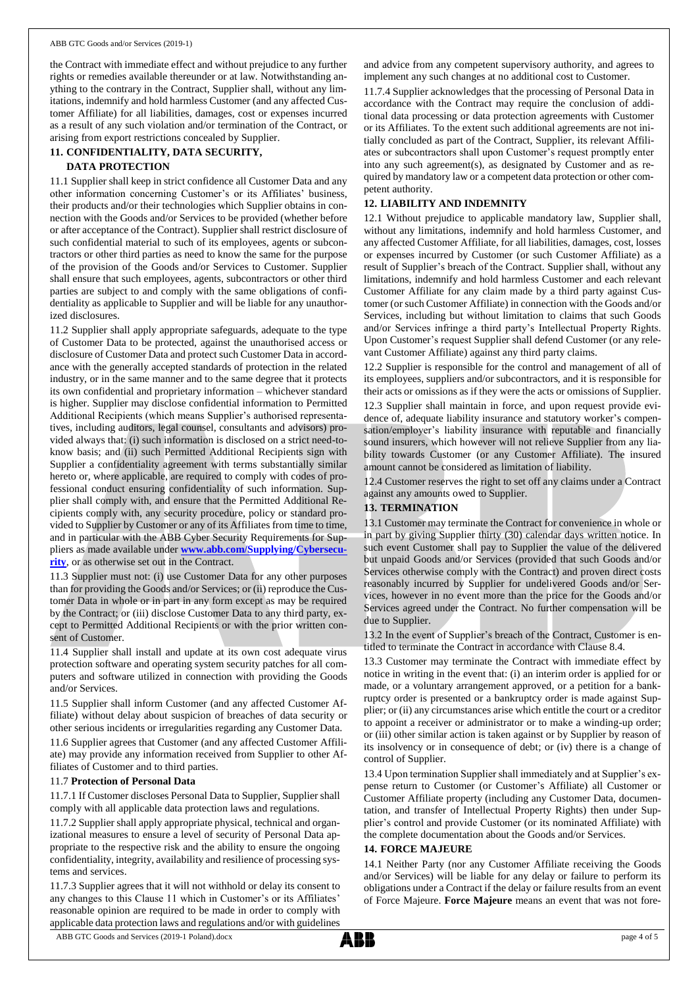#### ABB GTC Goods and/or Services (2019-1)

the Contract with immediate effect and without prejudice to any further rights or remedies available thereunder or at law. Notwithstanding anything to the contrary in the Contract, Supplier shall, without any limitations, indemnify and hold harmless Customer (and any affected Customer Affiliate) for all liabilities, damages, cost or expenses incurred as a result of any such violation and/or termination of the Contract, or arising from export restrictions concealed by Supplier.

# **11. CONFIDENTIALITY, DATA SECURITY,**

#### **DATA PROTECTION**

11.1 Supplier shall keep in strict confidence all Customer Data and any other information concerning Customer's or its Affiliates' business, their products and/or their technologies which Supplier obtains in connection with the Goods and/or Services to be provided (whether before or after acceptance of the Contract). Supplier shall restrict disclosure of such confidential material to such of its employees, agents or subcontractors or other third parties as need to know the same for the purpose of the provision of the Goods and/or Services to Customer. Supplier shall ensure that such employees, agents, subcontractors or other third parties are subject to and comply with the same obligations of confidentiality as applicable to Supplier and will be liable for any unauthorized disclosures.

11.2 Supplier shall apply appropriate safeguards, adequate to the type of Customer Data to be protected, against the unauthorised access or disclosure of Customer Data and protect such Customer Data in accordance with the generally accepted standards of protection in the related industry, or in the same manner and to the same degree that it protects its own confidential and proprietary information – whichever standard is higher. Supplier may disclose confidential information to Permitted Additional Recipients (which means Supplier's authorised representatives, including auditors, legal counsel, consultants and advisors) provided always that: (i) such information is disclosed on a strict need-toknow basis; and (ii) such Permitted Additional Recipients sign with Supplier a confidentiality agreement with terms substantially similar hereto or, where applicable, are required to comply with codes of professional conduct ensuring confidentiality of such information. Supplier shall comply with, and ensure that the Permitted Additional Recipients comply with, any security procedure, policy or standard provided to Supplier by Customer or any of its Affiliates from time to time, and in particular with the ABB Cyber Security Requirements for Suppliers as made available under **[www.abb.com/Supplying/Cybersecu](http://www.abb.com/Supplying/Cybersecurity)[rity](http://www.abb.com/Supplying/Cybersecurity)**, or as otherwise set out in the Contract.

11.3 Supplier must not: (i) use Customer Data for any other purposes than for providing the Goods and/or Services; or (ii) reproduce the Customer Data in whole or in part in any form except as may be required by the Contract; or (iii) disclose Customer Data to any third party, except to Permitted Additional Recipients or with the prior written consent of Customer.

11.4 Supplier shall install and update at its own cost adequate virus protection software and operating system security patches for all computers and software utilized in connection with providing the Goods and/or Services.

11.5 Supplier shall inform Customer (and any affected Customer Affiliate) without delay about suspicion of breaches of data security or other serious incidents or irregularities regarding any Customer Data.

11.6 Supplier agrees that Customer (and any affected Customer Affiliate) may provide any information received from Supplier to other Affiliates of Customer and to third parties.

#### 11.7 **Protection of Personal Data**

11.7.1 If Customer discloses Personal Data to Supplier, Supplier shall comply with all applicable data protection laws and regulations.

11.7.2 Supplier shall apply appropriate physical, technical and organizational measures to ensure a level of security of Personal Data appropriate to the respective risk and the ability to ensure the ongoing confidentiality, integrity, availability and resilience of processing systems and services.

11.7.3 Supplier agrees that it will not withhold or delay its consent to any changes to this Clause 11 which in Customer's or its Affiliates' reasonable opinion are required to be made in order to comply with applicable data protection laws and regulations and/or with guidelines

and advice from any competent supervisory authority, and agrees to implement any such changes at no additional cost to Customer.

11.7.4 Supplier acknowledges that the processing of Personal Data in accordance with the Contract may require the conclusion of additional data processing or data protection agreements with Customer or its Affiliates. To the extent such additional agreements are not initially concluded as part of the Contract, Supplier, its relevant Affiliates or subcontractors shall upon Customer's request promptly enter into any such agreement(s), as designated by Customer and as required by mandatory law or a competent data protection or other competent authority.

## **12. LIABILITY AND INDEMNITY**

12.1 Without prejudice to applicable mandatory law, Supplier shall, without any limitations, indemnify and hold harmless Customer, and any affected Customer Affiliate, for all liabilities, damages, cost, losses or expenses incurred by Customer (or such Customer Affiliate) as a result of Supplier's breach of the Contract. Supplier shall, without any limitations, indemnify and hold harmless Customer and each relevant Customer Affiliate for any claim made by a third party against Customer (or such Customer Affiliate) in connection with the Goods and/or Services, including but without limitation to claims that such Goods and/or Services infringe a third party's Intellectual Property Rights. Upon Customer's request Supplier shall defend Customer (or any relevant Customer Affiliate) against any third party claims.

12.2 Supplier is responsible for the control and management of all of its employees, suppliers and/or subcontractors, and it is responsible for their acts or omissions as if they were the acts or omissions of Supplier. 12.3 Supplier shall maintain in force, and upon request provide evidence of, adequate liability insurance and statutory worker's compensation/employer's liability insurance with reputable and financially sound insurers, which however will not relieve Supplier from any liability towards Customer (or any Customer Affiliate). The insured amount cannot be considered as limitation of liability.

12.4 Customer reserves the right to set off any claims under a Contract against any amounts owed to Supplier.

## **13. TERMINATION**

13.1 Customer may terminate the Contract for convenience in whole or in part by giving Supplier thirty (30) calendar days written notice. In such event Customer shall pay to Supplier the value of the delivered but unpaid Goods and/or Services (provided that such Goods and/or Services otherwise comply with the Contract) and proven direct costs reasonably incurred by Supplier for undelivered Goods and/or Services, however in no event more than the price for the Goods and/or Services agreed under the Contract. No further compensation will be due to Supplier.

13.2 In the event of Supplier's breach of the Contract, Customer is entitled to terminate the Contract in accordance with Clause 8.4.

13.3 Customer may terminate the Contract with immediate effect by notice in writing in the event that: (i) an interim order is applied for or made, or a voluntary arrangement approved, or a petition for a bankruptcy order is presented or a bankruptcy order is made against Supplier; or (ii) any circumstances arise which entitle the court or a creditor to appoint a receiver or administrator or to make a winding-up order; or (iii) other similar action is taken against or by Supplier by reason of its insolvency or in consequence of debt; or (iv) there is a change of control of Supplier.

13.4 Upon termination Supplier shall immediately and at Supplier's expense return to Customer (or Customer's Affiliate) all Customer or Customer Affiliate property (including any Customer Data, documentation, and transfer of Intellectual Property Rights) then under Supplier's control and provide Customer (or its nominated Affiliate) with the complete documentation about the Goods and/or Services.

#### **14. FORCE MAJEURE**

14.1 Neither Party (nor any Customer Affiliate receiving the Goods and/or Services) will be liable for any delay or failure to perform its obligations under a Contract if the delay or failure results from an event of Force Majeure. **Force Majeure** means an event that was not fore-